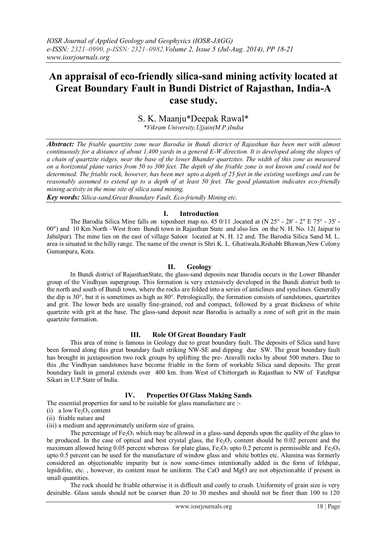# **An appraisal of eco-friendly silica-sand mining activity located at Great Boundary Fault in Bundi District of Rajasthan, India-A case study.**

# S. K. Maanju\*Deepak Rawal\*

*\*Vikram University,Ujjain(M.P.)India*

*Abstract: The friable quartzite zone near Barodia in Bundi district of Rajasthan has been met with almost continuously for a distance of about 1,400 yards in a general E-W direction. It is developed along the slopes of a chain of quartzite ridges, near the base of the lower Bhander quartzites. The width of this zone as measured on a horizontal plane varies from 50 to 300 feet. The depth of the friable zone is not known and could not be determined. The friable rock, however, has been met upto a depth of 25 feet in the existing workings and can be reasonably assumed to extend up to a depth of at least 50 feet. The good plantation indicates eco-friendly mining activity in the mine site of silica sand mining.*

*Key words: Silica-sand,Great Boundary Fault, Eco-friendly Mining etc.*

# **I. Introduction**

The Barodia Silica Mine falls on toposheet map no. 45 0/11 , located at (N 25° - 28' - 2" E 75° - 35' -00") and 10 Km North –West from Bundi town in Rajasthan State and also lies on the N. H. No. 12( Jaipur to Jabalpur). The mine lies on the east of village Satoor located at N. H. 12 and. The Barodia Silica Sand M. L. area is situated in the hilly range. The name of the owner is Shri K. L. Ghatiwala,Rishabh Bhawan,New Colony Gumanpura, Kota.

# **II. Geology**

In Bundi district of RajasthanState, the glass-sand deposits near Barodia occurs in the Lower Bhander group of the Vindhyan supergroup. This formation is very extensively developed in the Bundi district both to the north and south of Bundi town, where the rocks are folded into a series of anticlines and synclines. Generally the dip is  $30^\circ$ , but it is sometimes as high as  $80^\circ$ . Petrologically, the formation consists of sandstones, quartzites and grit. The lower beds are usually fine-grained, red and compact, followed by a great thickness of white quartzite with grit at the base. The glass-sand deposit near Barodia is actually a zone of soft grit in the main quartzite formation.

# **III. Role Of Great Boundary Fault**

This area of mine is famous in Geology due to great boundary fault. The deposits of Silica sand have been formed along this great boundary fault striking NW-SE and dipping due SW. The great boundary fault has brought in juxtaposition two rock groups by uplifting the pre- Aravalli rocks by about 500 meters. Due to this ,the Vindhyan sandstones have become friable in the form of workable Silica sand deposits. The great boundary fault in general extends over 400 km. from West of Chittorgarh in Rajasthan to NW of Fatehpur Sikari in U.P.State of India.

# **IV. Properties Of Glass Making Sands**

The essential properties for sand to be suitable for glass manufacture are :-

- (i) a low  $Fe<sub>2</sub>O<sub>3</sub>$  content
- (ii) friable nature and
- (iii) a medium and approximately uniform size of grains.

The percentage of  $Fe<sub>2</sub>O<sub>3</sub>$  which may be allowed in a glass-sand depends upon the quality of the glass to be produced. In the case of optical and best crystal glass, the  $Fe<sub>2</sub>O<sub>3</sub>$  content should be 0.02 percent and the maximum allowed being 0.05 percent whereas for plate glass,  $Fe<sub>2</sub>O<sub>3</sub>$  upto 0.2 percent is permissible and  $Fe<sub>2</sub>O<sub>3</sub>$ upto 0.5 percent can be used for the manufacture of window glass and white bottles etc. Alumina was formerly considered an objectionable impurity but is now some-times intentionally added in the form of feldspar, lepidolite, etc. , however, its content must be uniform. The CaO and MgO are not objectionable if present in small quantities.

The rock should be friable otherwise it is difficult and costly to crush. Uniformity of grain size is very desirable. Glass sands should not be coarser than 20 to 30 meshes and should not be finer than 100 to 120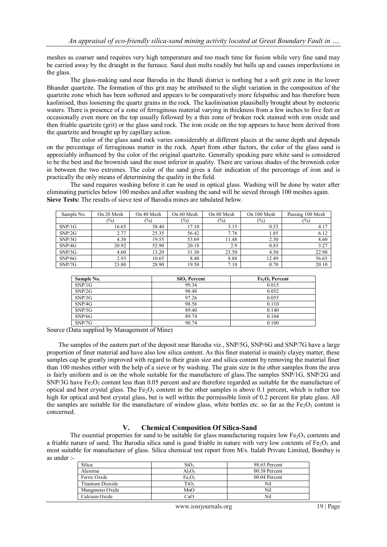meshes as coarser sand requires very high temperature and too much time for fusion while very fine sand may be carried away by the draught in the furnace. Sand dust melts readily but balls up and causes imperfections in the glass.

The glass-making sand near Barodia in the Bundi district is nothing but a soft grit zone in the lower Bhander quartzite. The formation of this grit may be attributed to the slight variation in the composition of the quartzite zone which has been softened and appears to be comparatively more felspathic and has therefore been kaolinised, thus loosening the quartz grains in the rock. The kaolinisation plausibally brought about by meteoric waters. There is presence of a zone of ferruginous material varying in thickness from a few inches to five feet or occasionally even more on the top usually followed by a thin zone of broken rock stained with iron oxide and then friable quartzite (grit) or the glass sand rock. The iron oxide on the top appears to have been derived from the quartzite and brought up by capillary action.

The color of the glass sand rock varies considerably at different places at the same depth and depends on the percentage of ferruginous matter in the rock. Apart from other factors, the color of the glass sand is appreciably influenced by the color of the original quartzite. Generally speaking pure white sand is considered to be the best and the brownish sand the most inferior in quality. There are various shades of the brownish color in between the two extremes. The color of the sand gives a fair indication of the percentage of iron and is practically the only means of determining the quality in the field.

The sand requires washing before it can be used in optical glass. Washing will be done by water after eliminating particles below 100 meshes and after washing the sand will be sieved through 100 meshes again. **Sieve Tests:** The results of sieve test of Barodia mines are tabulated below.

| Sample No. | On 20 Mesh | On 40 Mesh | On 60 Mesh | On 80 Mesh | On 100 Mesh   | Passing 100 Mesh |
|------------|------------|------------|------------|------------|---------------|------------------|
|            | $(\%)$     | (%)        | (9/0)      | $(\%)$     | $\frac{1}{2}$ | $(\%)$           |
| SNP/1G     | 16.65      | 58.40      | 17.10      | 3.15       | 0.53          | 4.17             |
| SNP/2G     | 2.77       | 25.35      | 56.42      | 7.76       | 1.85          | 6.12             |
| SNP/3G     | 4.38       | 19.55      | 53.69      | 11.48      | 2.30          | 8.60             |
| SNP/4G     | 20.92      | 52.90      | 20.18      | 2.9        | 0.83          | 3.27             |
| SNP/5G     | 4.60       | 13.20      | 31.30      | 23.50      | 4.50          | 22.90            |
| SNP/6G     | 2.93       | 10.65      | 8.40       | 8.88       | 12.49         | 56.65            |
| SNP/7G     | 23.80      | 28.90      | 19.50      | 7.10       | 0.70          | 20.10            |

| Sample No. | SiO <sub>2</sub> Percent | Fe <sub>2</sub> O <sub>3</sub> Percent |  |
|------------|--------------------------|----------------------------------------|--|
| SNP/1G     | 99.34                    | 0.015                                  |  |
| SNP/2G     | 98.48                    | 0.052                                  |  |
| SNP/3G     | 97.26                    | 0.055                                  |  |
| SNP/4G     | 98.56                    | 0.110                                  |  |
| SNP/5G     | 89.40                    | 0.140                                  |  |
| SNP/6G     | 89.74                    | 0.104                                  |  |
| SNP/7G     | 90.74                    | 0.100                                  |  |

Source (Data supplied by Management of Mine)

The samples of the eastern part of the deposit near Barodia viz., SNP/5G, SNP/6G and SNP/7G have a large proportion of finer material and have also low silica content. As this finer material is mainly clayey matter, these samples cap be greatly improved with regard to their grain size and silica content by removing the material finer than 100 meshes either with the help of a sieve or by washing. The grain size in the other samples from the area is fairly uniform and is on the whole suitable for the manufacture of glass.The samples SNP/1G, SNP/2G and SNP/3G have  $Fe<sub>2</sub>O<sub>3</sub>$  content less than 0.05 percent and are therefore regarded as suitable for the manufacture of optical and best crystal glass. The  $Fe<sub>2</sub>O<sub>3</sub>$  content in the other samples is above 0.1 percent, which is rather too high for optical and best crystal glass, but is well within the permissible limit of 0.2 percent for plate glass. All the samples are suitable for the manufacture of window glass, white bottles etc. so far as the  $Fe<sub>2</sub>O<sub>3</sub>$  content is concerned.

# **V. Chemical Composition Of Silica-Sand**

The essential properties for sand to be suitable for glass manufacturing require low  $Fe<sub>2</sub>O<sub>3</sub>$  contents and a friable nature of sand. The Barodia silica sand is good friable in nature with very low contents of  $Fe<sub>2</sub>O<sub>3</sub>$  and most suitable for manufacture of glass. Silica chemical test report from M/s. Italab Private Limited, Bombay is as under :-

| Silica           | SiO <sub>2</sub>               | 98.65 Percent |
|------------------|--------------------------------|---------------|
| Alumina          | $Al_2O_3$                      | 00.38 Percent |
| Ferric Oxide     | Fe <sub>2</sub> O <sub>3</sub> | 00.04 Percent |
| Titanium Dioxide | TiO,                           | Nil           |
| Manganous Oxide  | MnO                            | Nil           |
| Calcium Oxide    | CaO                            | Nil           |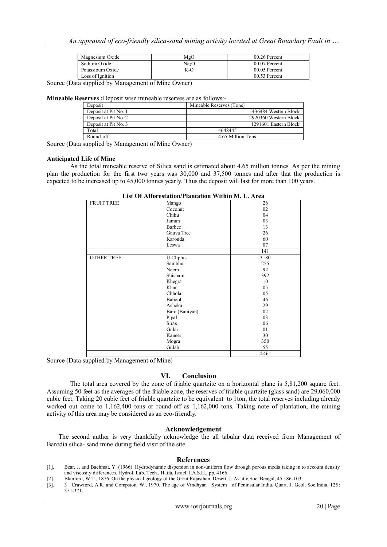| Magnesium Oxide  | MgO               | 00.26 Percent   |  |
|------------------|-------------------|-----------------|--|
| Sodium Oxide     | Na <sub>2</sub> O | $00.07$ Percent |  |
| Potassioum Oxide | KэO               | $00.05$ Percent |  |
| Loss of Ignition |                   | 00.53 Percent   |  |

Source (Data supplied by Management of Mine Owner)

**Mineable Reserves :**Deposit wise mineable reserves are as follows:-

| Deposit              | Mineable Reserves (Tons) |  |
|----------------------|--------------------------|--|
| Deposit at Pit No. 1 | 436484 Western Block     |  |
| Deposit at Pit No. 2 | 2920360 Western Block    |  |
| Deposit at Pit No. 3 | 1291601 Eastern Block    |  |
| Total                | 4648445                  |  |
| Round-off            | 4.65 Million Tons        |  |

Source (Data supplied by Management of Mine Owner)

#### **Anticipated Life of Mine**

As the total mineable reserve of Silica sand is estimated about 4.65 million tonnes. As per the mining plan the production for the first two years was 30,000 and 37,500 tonnes and after that the production is expected to be increased up to 45,000 tonnes yearly. Thus the deposit will last for more than 100 years.

| <b>FRUIT TREE</b> | Mango          | 26    |
|-------------------|----------------|-------|
|                   | Coconut        | 02    |
|                   | Chiku          | 04    |
|                   | Jamun          | 03    |
|                   | Barbee         | 13    |
|                   | Gauva Tree     | 26    |
|                   | Karonda        | 60    |
|                   | Leswa          | 07    |
|                   |                | 141   |
| <b>OTHER TREE</b> | U Cliptus      | 3180  |
|                   | Sambhu         | 255   |
|                   | Neem           | 92    |
|                   | Shisham        | 392   |
|                   | Khegra         | 10    |
|                   | Khar           | 05    |
|                   | Chhola         | 05    |
|                   | Babool         | 46    |
|                   | Ashoka         | 29    |
|                   | Bard (Baniyan) | 02    |
|                   | Pipal          | 03    |
|                   | Siras          | 06    |
|                   | Gular          | 01    |
|                   | Kaneer         | 30    |
|                   | Mogra          | 350   |
|                   | Gulab          | 55    |
|                   |                | 4.461 |

**List Of Afforestation/Plantation Within M. L. Area**

Source (Data supplied by Management of Mine)

#### **VI. Conclusion**

The total area covered by the zone of friable quartzite on a horizontal plane is 5,81,200 square feet. Assuming 50 feet as the averages of the friable zone, the reserves of friable quartzite (glass sand) are 29,060,000 cubic feet. Taking 20 cubic feet of friable quartzite to be equivalent to 1ton, the total reserves including already worked out come to 1,162,400 tons or round-off as 1,162,000 tons. Taking note of plantation, the mining activity of this area may be considered as an eco-friendly.

#### **Acknowledgement**

The second author is very thankfully acknowledge the all tabular data received from Management of Barodia silica- sand mine during field visit of the site.

#### **References**

- [1]. Bear, J. and Bachmat, Y. (1966). Hydrodynamic dispersion in non-uniform flow through porous media taking in to account density and viscosity differences. Hydrol. Lab. Tech., Haifa, Israel, I.A.S.H., pp. 4166.
- [2]. Blanford, W.T., 1876. On the physical geology of the Great Rajasthan Desert, J. Asiatic Soc. Bengal, 45 : 86-103.
- [3]. 3 Crawford, A.R. and Compston, W., 1970. The age of Vindhyan System of Peninsular India. Quart. J. Geol. Soc.India, 125: 351-371.